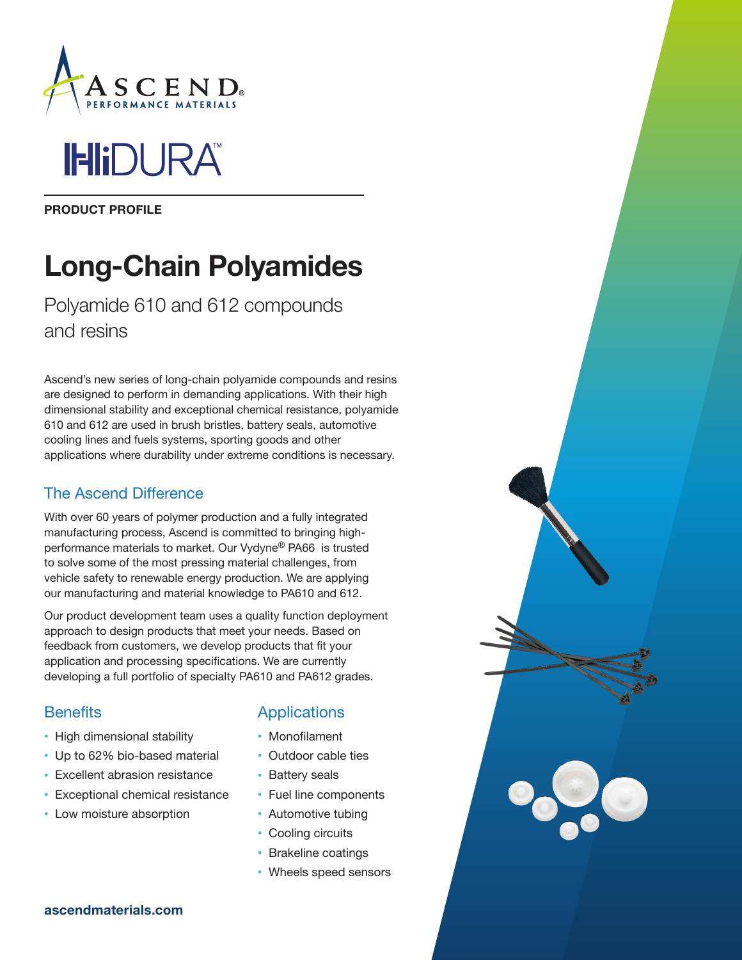

**IHIDURA** 

PRODUCT PROFILE

# Long-Chain Polyamides

Polyamide 610 and 612 compounds and resins

Ascend's new series of long-chain polyamide compounds and resins are designed to perform in demanding applications. With their high dimensional stability and exceptional chemical resistance, polyamide 610 and 612 are used in brush bristles, battery seals, automotive cooling lines and fuels systems, sporting goods and other applications where durability under extreme conditions is necessary.

## The Ascend Difference

With over 60 years of polymer production and a fully integrated manufacturing process, Ascend is committed to bringing highperformance materials to market. Our Vydyne® PA66 is trusted to solve some of the most pressing material challenges, from vehicle safety to renewable energy production. We are applying our manufacturing and material knowledge to PA610 and 612.

Our product development team uses a quality function deployment approach to design products that meet your needs. Based on feedback from customers, we develop products that fit your application and processing specifications. We are currently developing a full portfolio of specialty PA610 and PA612 grades.

## **Benefits**

- High dimensional stability
- Up to 62% bio-based material
- Excellent abrasion resistance
- Exceptional chemical resistance
- Low moisture absorption

## **Applications**

- Monofilament
- Outdoor cable ties
- Battery seals
- Fuel line components
- Automotive tubing
- Cooling circuits
- Brakeline coatings
- Wheels speed sensors